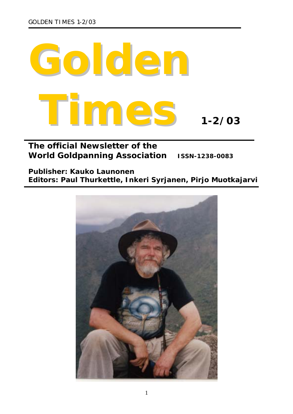

# **The official Newsletter of the World Goldpanning Association ISSN-1238-0083**

# *Publisher: Kauko Launonen Editors: Paul Thurkettle, Inkeri Syrjanen, Pirjo Muotkajarvi*

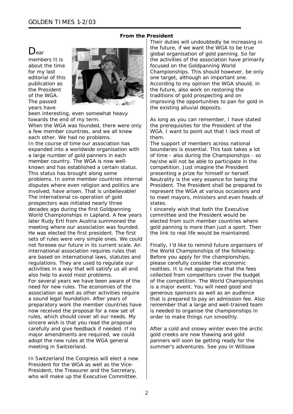#### **From the President**

# $D_{\text{ear}}$

members It is about the time for my last editorial of this publication as the President of the WGA. The passed years have



been interesting, even somewhat heavy towards the end of my term.

When the WGA was founded, there were only a few member countries, and we all knew each other. We had no problems. In the course of time our association has expanded into a worldwide organisation with a large number of gold panners in each member country. The WGA is now wellknown and has established a certain status. This status has brought along some problems. In some member countries internal disputes where even religion and politics are involved, have arisen. That is unbelievable! The international co-operation of gold prospectors was initiated nearly three decades ago during the first Goldpanning World Championships in Lapland. A few years later Rudy Ertl from Austria summoned the meeting where our association was founded. He was elected the first president. The first sets of rules were very simple ones. We could not foresee our future in its current scale. An international association requires rules that are based on international laws, statutes and regulations. They are used to regulate our activities in a way that will satisfy us all and also help to avoid most problems. For several years we have been aware of the need for new rules. The economies of the association as well as other activities require a sound legal foundation. After years of preparatory work the member countries have now received the proposal for a new set of rules, which should cover all our needs. My sincere wish is that you read the proposal carefully and give feedback if needed. If no major amendments are required, we could adopt the new rules at the WGA general meeting in Switzerland.

In Switzerland the Congress will elect a new President for the WGA as well as the Vice-President, the Treasurer and the Secretary, who will make up the Executive Committee.

Their duties will undoubtedly be increasing in the future, if we want the WGA to be true global organisation of gold panning. So far the activities of the association have primarily focused on the Goldpanning World Championships. This should however, be only one target, although an important one. According to my opinion the WGA should, in the future, also work on restoring the traditions of gold prospecting and on improving the opportunities to pan for gold in the existing alluvial deposits.

As long as you can remember, I have stated the prerequisites for the President of the WGA. I want to point out that I lack most of them.

The support of members across national boundaries is essential. This task takes a lot of time - also during the Championships - so he/she will not be able to participate in the competition. Just imagine the President presenting a prize for himself or herself. Neutrality is the very essence for being the President. The President shall be prepared to represent the WGA at various occasions and to meet mayors, ministers and even heads of states.

I sincerely wish that both the Executive committee and the President would be elected from such member countries where gold panning is more than just a sport. Then the link to real life would be maintained.

Finally, I'd like to remind future organisers of the World Championships of the following: Before you apply for the championships, please carefully consider the economic realities. It is not appropriate that the fees collected from competitors cover the budget of the competition. The World Championships is a major event. You will need good and generous sponsors as well as an audience that is prepared to pay an admission fee. Also remember that a large and well-trained team is needed to organise the championships in order to make things run smoothly.

After a cold and snowy winter even the arctic gold creeks are now thawing and gold panners will soon be getting ready for the summer's adventures. See you in Willisaw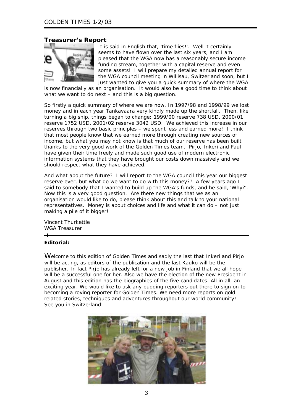## **Treasurer's Report**



It is said in English that, 'time flies!'. Well it certainly seems to have flown over the last six years, and I am pleased that the WGA now has a reasonably secure income funding stream, together with a capital reserve and even some assets! I will prepare my detailed annual report for the WGA council meeting in Willisau, Switzerland soon, but I just wanted to give you a quick summary of where the WGA

is now financially as an organisation. It would also be a good time to think about what we want to do next – and this is a big question.

So firstly a quick summary of where we are now. In 1997/98 and 1998/99 we lost money and in each year Tankavaara very kindly made up the shortfall. Then, like turning a big ship, things began to change: 1999/00 reserve 738 USD, 2000/01 reserve 1752 USD, 2001/02 reserve 3042 USD. We achieved this increase in our reserves through two basic principles – we spent less and earned more! I think that most people know that we earned more through creating new sources of income, but what you may not know is that much of our reserve has been built thanks to the very good work of the Golden Times team. Pirjo, Inkeri and Paul have given their time freely and made such good use of modern electronic information systems that they have brought our costs down massively and we should respect what they have achieved.

And what about the future? I will report to the WGA council this year our biggest reserve ever, but what do we want to do with this money?? A few years ago I said to somebody that I wanted to build up the WGA's funds, and he said, 'Why?'. Now this is a very good question. Are there new things that we as an organisation would like to do, please think about this and talk to your national representatives. Money is about choices and life and what it can do – not just making a pile of it bigger!

Vincent Thurkettle WGA Treasurer  $\overline{\phantom{a}}$ 

#### **Editorial:**

Welcome to this edition of Golden Times and sadly the last that Inkeri and Pirjo will be acting, as editors of the publication and the last Kauko will be the publisher. In fact Pirjo has already left for a new job in Finland that we all hope will be a successful one for her. Also we have the election of the new President in August and this edition has the biographies of the five candidates. All in all, an exciting year. We would like to ask any budding reporters out there to sign on to becoming a roving reporter for Golden Times. We need more reports on gold related stories, techniques and adventures throughout our world community! See you in Switzerland!

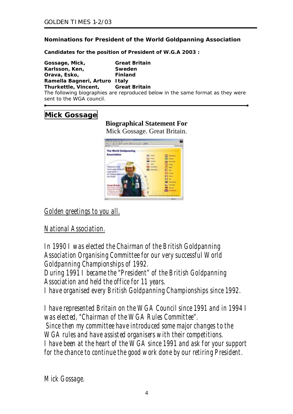# **Nominations for President of the World Goldpanning Association**

*Candidates for the position of President of W.G.A 2003 :* 

| Gossage, Mick,                            | <b>Great Britain</b>                                                           |
|-------------------------------------------|--------------------------------------------------------------------------------|
| Karlsson, Ken,                            | Sweden                                                                         |
| Orava, Esko,                              | <b>Finland</b>                                                                 |
| Ramella Bagneri, Arturo Italy             |                                                                                |
| <b>Thurkettle, Vincent, Great Britain</b> |                                                                                |
| sent to the WGA council.                  | The following biographies are reproduced below in the same format as they were |

# **Mick Gossage**

# **Biographical Statement For**

Mick Gossage. Great Britain.



*Golden greetings to you all.*

*National Association.*

*In 1990 I was elected the Chairman of the British Goldpanning Association Organising Committee for our very successful World Goldpanning Championships of 1992. During 1991 I became the "President" of the British Goldpanning Association and held the office for 11 years. I have organised every British Goldpanning Championships since 1992.* 

*I have represented Britain on the WGA Council since 1991 and in 1994 I was elected, "Chairman of the WGA Rules Committee". Since then my committee have introduced some major changes to the WGA rules and have assisted organisers with their competitions. I have been at the heart of the WGA since 1991 and ask for your support for the chance to continue the good work done by our retiring President.* 

*Mick Gossage.*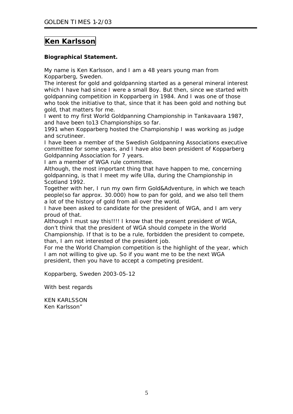# **Ken Karlsson**

# **Biographical Statement.**

My name is Ken Karlsson, and I am a 48 years young man from Kopparberg, Sweden.

The interest for gold and goldpanning started as a general mineral interest which I have had since I were a small Boy. But then, since we started with goldpanning competition in Kopparberg in 1984. And I was one of those who took the initiative to that, since that it has been gold and nothing but gold, that matters for me.

I went to my first World Goldpanning Championship in Tankavaara 1987, and have been to13 Championships so far.

1991 when Kopparberg hosted the Championship I was working as judge and scrutineer.

I have been a member of the Swedish Goldpanning Associations executive committee for some years, and I have also been president of Kopparberg Goldpanning Association for 7 years.

I am a member of WGA rule committee.

Although, the most important thing that have happen to me, concerning goldpanning, is that I meet my wife Ulla, during the Championship in Scotland 1992.

Together with her, I run my own firm Gold&Adventure, in which we teach people(so far approx. 30.000) how to pan for gold, and we also tell them a lot of the history of gold from all over the world.

I have been asked to candidate for the president of WGA, and I am very proud of that.

Although I must say this!!!! I know that the present president of WGA, don't think that the president of WGA should compete in the World Championship. If that is to be a rule, forbidden the president to compete, than, I am not interested of the president job.

For me the World Champion competition is the highlight of the year, which I am not willing to give up. So if you want me to be the next WGA president, then you have to accept a competing president.

Kopparberg, Sweden 2003-05-12

With best regards

KEN KARLSSON Ken Karlsson"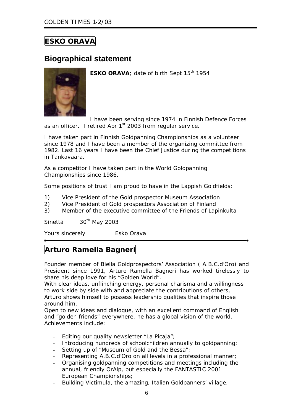# **ESKO ORAVA**

# **Biographical statement**



**ESKO ORAVA**; date of birth Sept 15<sup>th</sup> 1954

I have been serving since 1974 in Finnish Defence Forces as an officer. I retired Apr  $1<sup>st</sup>$  2003 from regular service.

I have taken part in Finnish Goldpanning Championships as a volunteer since 1978 and I have been a member of the organizing committee from 1982. Last 16 years I have been the Chief Justice during the competitions in Tankavaara.

As a competitor I have taken part in the World Goldpanning Championships since 1986.

Some positions of trust I am proud to have in the Lappish Goldfields:

- 1) Vice President of the Gold prospector Museum Association
- 2) Vice President of Gold prospectors Association of Finland
- 3) Member of the executive committee of the Friends of Lapinkulta

Sinettä 30<sup>th</sup> May 2003

Yours sincerely Esko Orava

# **Arturo Ramella Bagneri**

Founder member of Biella Goldprospectors' Association ( A.B.C.d'Oro) and President since 1991, Arturo Ramella Bagneri has worked tirelessly to share his deep love for his "Golden World".

With clear ideas, unflinching energy, personal charisma and a willingness to work side by side with and appreciate the contributions of others, Arturo shows himself to possess leadership qualities that inspire those around him.

Open to new ideas and dialogue, with an excellent command of English and "golden friends" everywhere, he has a global vision of the world. Achievements include:

- Editing our quality newsletter "La Picaja";
- Introducing hundreds of schoolchildren annually to goldpanning;
- Setting up of "Museum of Gold and the Bessa";
- Representing A.B.C.d'Oro on all levels in a professional manner;
- Organising goldpanning competitions and meetings including the annual, friendly OrAlp, but especially the FANTASTIC 2001 European Championships;
- Building Victimula, the amazing, Italian Goldpanners' village.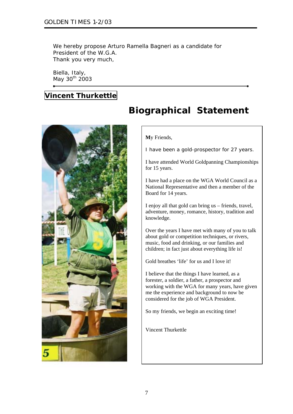We hereby propose Arturo Ramella Bagneri as a candidate for President of the W.G.A. Thank you very much,

Biella, Italy, May 30<sup>th</sup> 2003

# **Vincent Thurkettle**



# **Biographical Statement**

#### **M**y Friends,

I have been a gold-prospector for 27 years.

I have attended World Goldpanning Championships for 15 years.

I have had a place on the WGA World Council as a National Representative and then a member of the Board for 14 years.

I enjoy all that gold can bring us – friends, travel, adventure, money, romance, history, tradition and knowledge.

Over the years I have met with many of you to talk about gold or competition techniques, or rivers, music, food and drinking, or our families and children; in fact just about everything life is!

Gold breathes 'life' for us and I love it!

I believe that the things I have learned, as a forester, a soldier, a father, a prospector and working with the WGA for many years, have given me the experience and background to now be considered for the job of WGA Pr esident.

So my friends, we begin an exciting time!

Vincent Thurkettle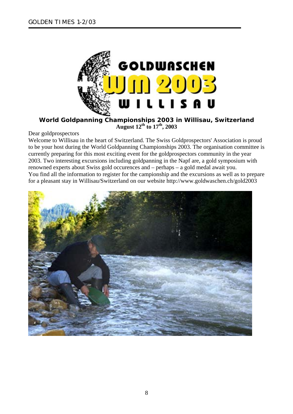

## **World Goldpanning Championships 2003 in Willisau, Switzerland August 12th to 17th, 2003**

## Dear goldprospectors

Welcome to Willisau in the heart of Switzerland. The Swiss Goldprospectors' Association is proud to be your host during the World Goldpanning Championships 2003. The organisation committee is currently preparing for this most exciting event for the goldprospectors community in the year 2003. Two interesting excursions including goldpanning in the Napf are, a gold symposium with renowned experts about Swiss gold occurences and – perhaps – a gold medal await you. You find all the information to register for the campionship and the excursions as well as to prepare for a pleasant stay in Willisau/Switzerland on our website http://www.goldwaschen.ch/gold2003

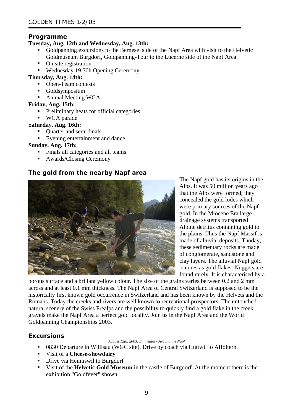## **Programme**

# **Tuesday, Aug. 12th and Wednesday, Aug. 13th:**

- Goldpanning excursions to the Bernese side of the Napf Area with visit to the Helvetic Goldmuseum Burgdorf, Goldpanning-Tour to the Lucerne side of the Napf Area
- On site registration
- Wednesday 19:30h Opening Ceremony

## **Thursday, Aug. 14th:**

- Open-Team contests
- Goldsymposium
- Annual Meeting WGA

## **Friday, Aug. 15th:**

- **Preliminary heats for official categories**
- **WGA** parade

## **Saturday, Aug. 16th:**

- Quarter and semi finals
- Evening entertainment and dance

## **Sunday, Aug. 17th:**

- Finals all categories and all teams
- Awards/Closing Ceremony

# **The gold from the nearby Napf area**



The Napf gold has its origins in the Alps. It was 50 million years ago that the Alps were formed; they concealed the gold lodes which were primary sources of the Napf gold. In the Miocene Era large drainage systems transported Alpine detritus containing gold to the plains. Thus the Napf Massif is made of alluvial deposits. Thoday, these sedimentary rocks are made of conglomerate, sandstone and clay layers. The alluvial Napf gold occures as gold flakes. Nuggets are found rarely. It is characterised by a

porous surface and a brillant yellow colour. The size of the grains varies between 0.2 and 2 mm across and at least 0.1 mm thickness. The Napf Area of Central Switzerland is supposed to be the historically first known gold occurrence in Switzerland and has been known by the Helvets and the Romans. Today the creeks and rivers are well known to recreational prospectors. The untouched natural scenery of the Swiss Prealps and the possibility to quickly find a gold flake in the creek gravels make the Napf Area a perfect gold locality. Join us in the Napf Area and the World Goldpanning Championships 2003.

## **Excursions**

#### *August 12th, 2003: Emmental - Around the Napf*

- 0830 Departure in Willisau (WGC site). Drive by coach via Huttwil to Affoltern.
- Visit of a **Cheese-showdairy**
- Drive via Heimiswil to Burgdorf
- Visit of the **Helvetic Gold Museum** in the castle of Burgdorf. At the moment there is the exhibition "Goldfever" shown.

9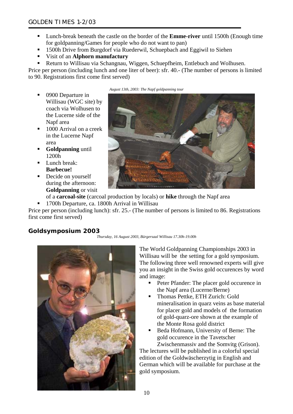- Lunch-break beneath the castle on the border of the **Emme-river** until 1500h (Enough time for goldpanning/Games for people who do not want to pan)
- **1500h Drive from Burgdorf via Ruederwil, Schuepbach and Eggiwil to Siehen**
- Visit of an **Alphorn manufactury**
- Return to Willisau via Schangnau, Wiggen, Schuepfheim, Entlebuch and Wolhusen.

Price per person (including lunch and one liter of beer): sfr. 40.- (The number of persons is limited to 90. Registrations first come first served)

- 0900 Departure in Willisau (WGC site) by coach via Wolhusen to the Lucerne side of the Napf area
- 1000 Arrival on a creek in the Lucerne Napf area
- **Goldpanning** until 1200h
- **Lunch break: Barbecue!**
- Decide on yourself during the afternoon: **Goldpanning** or visit

*August 13th, 2003: The Napf goldpanning tour* 



of a **carcoal-site** (carcoal production by locals) or **hike** through the Napf area

<sup>1700h</sup> Departure, ca. 1800h Arrival in Willisau

Price per person (including lunch): sfr. 25.- (The number of persons is limited to 86. Registrations first come first served)

# **Goldsymposium 2003**





The World Goldpanning Championships 2003 in Willisau will be the setting for a gold symposium. The following three well renowned experts will give you an insight in the Swiss gold occurences by word and image:

- Peter Pfander: The placer gold occurence in the Napf area (Lucerne/Berne)
- Thomas Pettke, ETH Zurich: Gold mineralisation in quarz veins as base m aterial for placer gold and models of the formation of gold-quarz-ore shown at the example of the Monte Rosa gold district
- Beda Hofmann, University of Berne: The gold occurence in the Tavetscher Zwischenmassiv and the Somvitg (Grison).

The lectures will be published in a colorful special edition of the Goldwäscherzytig in English and German which will be available for purchase at the gold symposium.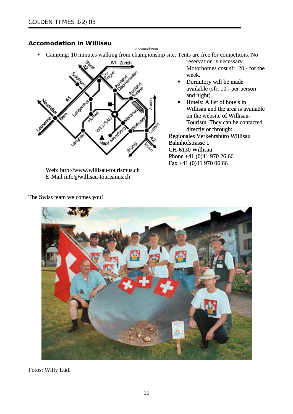# **Accomodation in Willisau**

*Accomodation*  Camping: 10 minutes walking from championship site. Tents are free for competitors. No



Web: http://www.willisau-tourismus.ch E-Mail info@willisau-tourismus.ch

reservation is necessary. Motorhomes cost sfr. 20.- for t he week.

- Dormitory will be made available (sfr. 10.- per person and night).
- Willisau and the area is available  $\blacksquare$  Hotels: A list of hotels in on the website of Willisau-Tourism. They can be contacted directly or through:

Regionales Verkehrsbüro Willisau Bahnhofstrasse 1 CH-6130 Willisau Phone +41 (0)41 970 26 66 Fax +41 (0)41 970 06 66



Fotos: Willy Lüdi

The Swiss team welcomes you!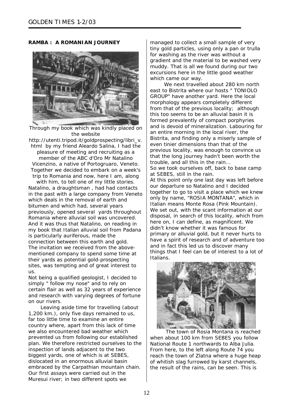#### **RAMBA : A ROMANIAN JOURNEY**



Through my book which was kindly placed on the website

http://utenti.tripod.it/goldprospecting/libri\_v. html by my friend Aleardo Salina, I had the pleasure of meeting and recruiting as a member of the ABC d'Oro Mr Natalino Vicenzino, a native of Portogruaro, Veneto. Together we decided to embark on a week's trip to Romania and now, here I am, along with him, to tell one of my little stories. Natalino, a draughtsman , had had contacts in the past with a large company from Veneto which deals in the removal of earth and bitumen and which had, several years previously, opened several yards throughout Romania where alluvial soil was uncovered. And it was thus that Natalino, on reading in my book that Italian alluvial soil from Padana is particularly auriferous, made the connection between this earth and gold. The invitation we received from the abovementioned company to spend some time at their yards as potential gold-prospecting sites, was tempting and of great interest to us.

Not being a qualified geologist, I decided to simply " follow my nose" and to rely on certain flair as well as 32 years of experience and research with varying degrees of fortune on our rivers.

 Leaving aside time for travelling (about 1,200 km.), only five days remained to us, far too little time to examine an entire country where, apart from this lack of time we also encountered bad weather which prevented us from following our established plan. We therefore restricted ourselves to the inspection of lands adjacent to the two biggest yards, one of which is at SEBES, dislocated in an enormous alluvial basin embraced by the Carpathian mountain chain. Our first assays were carried out in the Muresui river; in two different spots we

managed to collect a small sample of very tiny gold particles, using only a pan or trulla muddy. That is all we found during our two for washing as the river was without a gradient and the material to be washed very excursions here in the little good weather which came our way.

We next travelled about 280 km north east to Bistrita where our hosts " TONIOLO and is devoid of mineralization. Labouring for that the long journey hadn't been worth the our departure so Natalino and I decided only by name, "ROSIA MONTANA", which in primary or alluvial gold, but it never hurts to have a spirit of research and of adventure too GROUP" have another yard. Here the local morphology appears completely different from that of the previous locality; although this too seems to be an alluvial basin it is formed prevalently of compact porphyries an entire morning in the local river, the Bistrita, and finding only a miserly sample of even tinier dimensions than that of the previous locality, was enough to convince us trouble, and all this in the rain... So we took ourselves off, back to base camp at SEBES, still in the rain. At this point only one last day was left before together to go to visit a place which we knew Italian means Monte Rosa (Pink Mountain). We set out, with the scant information at our disposal, in search of this locality, which from here on, I can define, as magnificent. We didn't know whether it was famous for and in fact this led us to discover many



things that I feel can be of interest to a lot of

when about 100 km from SEBES you follow reach the town of Zlatna where a huge heap The town of Rosia Montana is reached National Route 1 northwards to Alba Julia. From here, to the left along Route 74 you of whitish slag furrowed by karst channels, the result of the rains, can be seen. This is

Italians.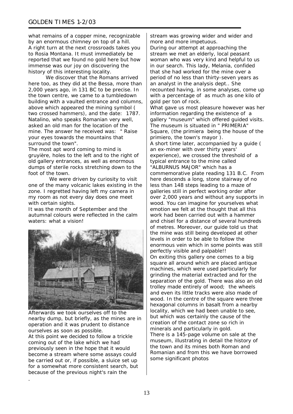what remains of a copper mine, recognizable by an enormous chimney on top of a hill. A right turn at the next crossroads takes you reported that we found no gold here but how to Rosia Montana. It must immediately be immense was our joy on discovering the history of this interesting locality.

We discover that the Romans arrived , building with a vaulted entrance and columns . two crossed hammers), and the date: 1787 mine. The answer he received was: " Raise here too, as they did at the Bessa, more than 2,000 years ago, in 131 BC to be precise. In the town centre, we came to a tumbledown above which appeared the mining symbol ( Natalino, who speaks Romanian very well, asked an old man for the location of the your eyes towards the mountains that surround the town".

The most apt word coming to mind is gruyière, holes to the left and to the right of dumps of sterile rocks stretching down to the old gallery entrances, as well as enormous foot of the town.

We were driven by curiosity to visit one of the many volcanic lakes existing in the zone. I regretted having left my camera in my room as not every day does one meet with certain sights.

It was the month of September and the autumnal colours were reflected in the calm waters: what a vision!



Afterwards we took ourselves off to the nearby dump, but briefly, as the mines are in operation and it was prudent to distance ourselves as soon as possible.

At this point we decided to follow a trickle previously seen in the hope that it would become a stream where some assays could coming out of the lake which we had be carried out or, if possible, a sluice set up for a somewhat more consistent search, but because of the previous night's rain the

.

During our attempt at approaching the woman who was very kind and helpful to us period of no less than thirty-seven years as recounted having, in some analyses, come up What gave us most pleasure however was her gallery "museum" which offered guided visits. Square, (the primiera being the house of the A short time later, accompanied by a guide ( experience), we crossed the threshold of a commemorative plate reading 131 B.C. From galleries still in perfect working order after over 2,000 years and without any supports in and chisel for a distance of several hundreds enormous vein which in some points was still On exiting this gallery one comes to a big There is a 145-page volume on sale at the Romanian and from this we have borrowed stream was growing wider and wider and more and more impetuous. stream we met an elderly, local peasant in our search. This lady, Melania, confided that she had worked for the mine over a an analyst in the analysis dept.. She with a percentage of as much as one kilo of gold per ton of rock. information regarding the existence of a The museum is situated in " PRIMERIA" primiero, the town's mayor ). an ex-miner with over thirty years' typical entrance to the mine called "ALBURNUS MAJOR" which has a here descends a long, stone stairway of no less than 148 steps leading to a maze of wood. You can imagine for yourselves what emotion we felt at the thought that all this work had been carried out with a hammer of metres. Moreover, our guide told us that the mine was still being developed at other levels in order to be able to follow the perfectly visible and palpable!! square all around which are placed antique machines, which were used particularly for grinding the material extracted and for the separation of the gold. There was also an old trolley made entirely of wood; the wheels and even its little tracks were also made of wood. In the centre of the square were three hexagonal columns in basalt from a nearby locality, which we had been unable to see, but which was certainly the cause of the creation of the contact zone so rich in minerals and particularly in gold. museum, illustrating in detail the history of the town and its mines both Roman and some significant photos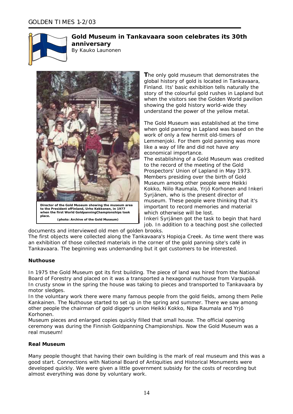

# **Gold Museum in Tankavaara soon celebrates its 30th anniversary**

By Kauko Launonen



**T**he only gold museum that demonstrates the global history of gold is located in Tankavaara, Finland. Its' basic exhibition tells naturally the story of the colourful gold rushes in Lapland but when the visitors see the Golden World pavilion showing the gold history world-wide they understand the power of the yellow metal.

The Gold Museum was established at the time when gold panning in Lapland was based on the work of only a few hermit old-timers of Lemmenjoki. For them gold panning was more like a way of life and did not have any economical importance. The establishing of a Gold Museum was c redited to the record of the meeting of the Gold

Prospectors' Union of Lapland in May 1973. Members presiding over the birth of Gold Museum among other people were Heikki Kokko, Niilo Raumala, Yrjö Korhonen and Inkeri Syrjänen, who is the present director of museum. These people were thinking that it's important to record memories and material which otherwise will be lost.

Inkeri Syrjänen got the task to begin that hard job. In addition to a teaching post she collected

documents and interviewed old men of golden brooks.

The first objects were collected along the Tankavaara's Hopioja Creek. As time went there was an exhibition of those collected materials in the corner of the gold panning site's café in Tankavaara. The beginning was undemanding but it got customers to be interested.

#### **Nuthouse**

In 1975 the Gold Museum got its first building. The piece of land was hired from the National Board of Forestry and placed on it was a transported a hexagonal nuthouse from Varpupää. In crusty snow in the spring the house was taking to pieces and transported to Tankavaara by motor sledges.

In the voluntary work there were many famous people from the gold fields, among them Pelle Kankainen. The Nuthouse started to set up in the spring and summer. There we saw among other people the chairman of gold digger's union Heikki Kokko, Nipa Raumala and Yrjö Korhonen.

Museum pieces and enlarged copies quickly filled that small house. The official opening ceremony was during the Finnish Goldpanning Championships. Now the Gold Museum was a real museum!

#### **Real Museum**

Many people thought that having their own building is the mark of real museum and this was a good start. Connections with National Board of Antiquities and Historical Monuments were developed quickly. We were given a little government subsidy for the costs of recording but almost everything was done by voluntary work.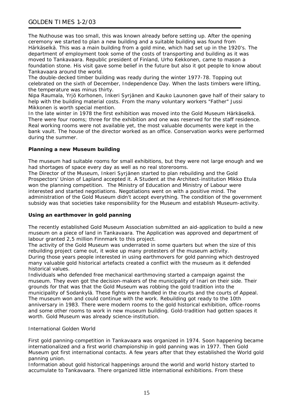## GOLDEN TIMES 1-2/03

The Nuthouse was too small, this was known already before setting up. After the opening ceremony we started to plan a new building and a suitable building was found from Härkäselkä. This was a main building from a gold mine, which had set up in the 1920's. The department of employment took some of the costs of transporting and building as it was moved to Tankavaara. Republic president of Finland, Urho Kekkonen, came to mason a foundation stone. His visit gave some belief in the future but also it got people to know about Tankavaara around the world.

The double-decked timber building was ready during the winter 1977-78. Topping out celebrated on the sixth of December, Independence Day. When the lasts timbers were lifting, the temperature was minus thirty.

Nipa Raumala, Yrjö Korhonen, Inkeri Syrjänen and Kauko Launonen gave half of their salary to help with the building material costs. From the many voluntary workers "Father" Jussi Mikkonen is worth special mention.

In the late winter in 1978 the first exhibition was moved into the Gold Museum Härkäselkä. There were four rooms; three for the exhibition and one was reserved for the staff residence. Real working rooms were not available yet, the most valuable documents were kept in the bank vault. The house of the director worked as an office. Conservation works were performed during the summer.

#### **Planning a new Museum building**

The museum had suitable rooms for small exhibitions, but they were not large enough and we had shortages of space every day as well as no real storerooms.

The Director of the Museum, Inkeri Syrjänen started to plan rebuilding and the Gold Prospectors' Union of Lapland accepted it. A Student at the Architect-institution Mikko Etula won the planning competition. The Ministry of Education and Ministry of Labour were interested and started negotiations. Negotiations went on with a positive mind. The administration of the Gold Museum didn't accept everything. The condition of the government subsidy was that societies take responsibility for the Museum and establish Museum-activity.

#### **Using an earthmover in gold panning**

The recently established Gold Museum Association submitted an aid-application to build a new museum on a piece of land in Tankavaara. The Application was approved and department of labour granted 2,5 million Finnmark to this project.

The activity of the Gold Museum was underrated in some quarters but when the size of this rebuilding project came out, it woke up many protesters of the museum activity. During those years people interested in using earthmovers for gold panning which destroyed many valuable gold historical artefacts created a conflict with the museum as it defended historical values.

Individuals who defended free mechanical earthmoving started a campaign against the museum. They even got the decision-makers of the municipality of Inari on their side. Their grounds for that was that the Gold Museum was robbing the gold tradition into the municipality of Sodankylä. These fights were handled in the courts and the courts of Appeal. The museum won and could continue with the work. Rebuilding got ready to the 10th anniversary in 1983. There were modern rooms to the gold historical exhibition, office-rooms and some other rooms to work in new museum building. Gold-tradition had gotten spaces it worth. Gold Museum was already science-institution.

#### International Golden World

First gold panning-competition in Tankavaara was organized in 1974. Soon happening became internationalized and a first world championship in gold panning was in 1977. Then Gold Museum got first international contacts. A few years after that they established the World gold panning union.

Information about gold historical happenings around the world and world history started to accumulate to Tankavaara. There organized little international exhibitions. From these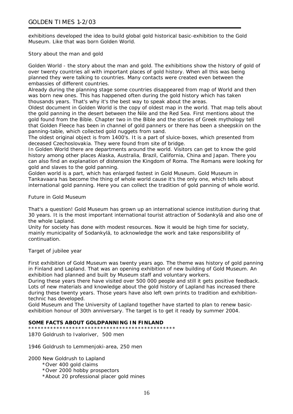exhibitions developed the idea to build global gold historical basic-exhibition to the Gold Museum. Like that was born Golden World.

Story about the man and gold

Golden World - the story about the man and gold. The exhibitions show the history of gold of over twenty countries all with important places of gold history. When all this was being planned they were talking to countries. Many contacts were created even between the embassies of different countries.

Already during the planning stage some countries disappeared from map of World and then was born new ones. This has happened often during the gold history which has taken thousands years. That's why it's the best way to speak about the areas.

Oldest document in Golden World is the copy of oldest map in the world. That map tells about the gold panning in the desert between the Nile and the Red Sea. First mentions about the gold found from the Bible. Chapter two in the Bible and the stories of Greek mythology tell that Golden Fleece has been in channel of gold panners or there has been a sheepskin on the panning-table, which collected gold nuggets from sand.

The oldest original object is from 1400's. It is a part of sluice-boxes, which presented from deceased Czechoslovakia. They were found from site of bridge.

In Golden World there are departments around the world. Visitors can get to know the gold history among other places Alaska, Australia, Brazil, California, China and Japan. There you can also find an explanation of distension the Kingdom of Roma. The Romans were looking for gold and slaves to the gold panning.

Golden world is a part, which has enlarged fastest in Gold Museum. Gold Museum in Tankavaara has become the thing of whole world cause it's the only one, which tells about international gold panning. Here you can collect the tradition of gold panning of whole world.

Future in Gold Museum

That's a question! Gold Museum has grown up an international science institution during that 30 years. It is the most important international tourist attraction of Sodankylä and also one of the whole Lapland.

Unity for society has done with modest resources. Now it would be high time for society, mainly municipality of Sodankylä, to acknowledge the work and take responsibility of continuation.

Target of jubilee year

First exhibition of Gold Museum was twenty years ago. The theme was history of gold panning in Finland and Lapland. That was an opening exhibition of new building of Gold Museum. An exhibition had planned and built by Museum staff and voluntary workers.

During these years there have visited over 500 000 people and still it gets positive feedback. Lots of new materials and knowledge about the gold history of Lapland has increased there during these twenty years. Those years have also left own prints to tradition and exhibitiontechnic has developed.

Gold Museum and The University of Lapland together have started to plan to renew basicexhibition honour of 30th anniversary. The target is to get it ready by summer 2004.

#### **SOME FACTS ABOUT GOLDPANNING IN FINLAND**

\*\*\*\*\*\*\*\*\*\*\*\*\*\*\*\*\*\*\*\*\*\*\*\*\*\*\*\*\*\*\*\*\*\*\*\*\*\*\*\*\*\*\*\*\*\*\*

1870 Goldrush to Ivaloriver, 500 men

1946 Goldrush to Lemmenjoki-area, 250 men

2000 New Goldrush to Lapland

- \*Over 400 gold claims
- \*Over 2000 hobby prospectors
- \*About 20 professional placer gold mines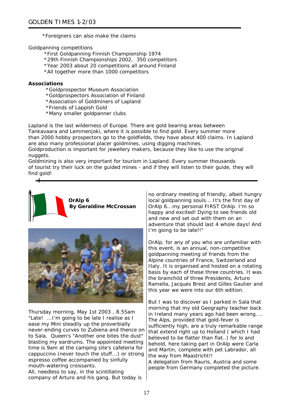\*Foreigners can also make the claims

Goldpanning competitions

- \*First Goldpanning Finnish Championship 1974
- \*29th Finnish Championships 2002, 350 competitors
- \*Year 2003 about 20 competitions all around Finland
- \*All together more than 1000 competitors

#### **Associations**

- \*Goldprospector Museum Association
- \*Goldprospectors Association of Finland
- \*Association of Goldminers of Lapland
- \*Friends of Lappish Gold
- \*Many smaller goldpanner clubs

Lapland is the last wilderness of Europe. There are gold bearing areas between Tankavaara and Lemmenjoki, where it is possible to find gold. Every summer more than 2000 hobby prospectors go to the goldfields, they have about 400 claims. In Lapland are also many professional placer goldmines, using digging machines.

Goldproduction is important for jewellery makers, because they like to use the original nuggets.

Goldmining is also very important for tourism in Lapland. Every summer thousands of tourist try their luck on the guided mines - and if they will listen to their guide, they will find gold!





Thursday morning, May 1st 2003 , 8.55am "Late! ...I'm going to be late I realise as I ease my Mini steadily up the proverbially never-ending curves to Zubiena and thence on to Sala. Queen's "Another one bites the dust" blasting my eardrums. The appointed meeting time is 9am at the camping site's cafeteria for cappuccino (never touch the stuff...) or strong espresso coffee accompanied by sinfully mouth-watering croissants.

All, needless to say, in the scintillating company of Arturo and his gang. But today is no ordinary meeting of friendly, albeit hungry local goldpanning souls... It's the first day of OrAlp 6...my personal FIRST OrAlp. I'm so happy and excited! Dying to see friends old and new and set out with them on an adventure that should last 4 whole days! And I'm going to be late!!"

OrAlp, for any of you who are unfamiliar with this event, is an annual, non-competitive goldpanning meeting of friends from the Alpine countries of France, Switzerland and Italy. It is organised and hosted on a rotating basis by each of these three countries. It was the brainchild of three Presidents, Arturo Ramella, Jacques Brest and Gilles Gautier and this year we were into our 6th edition.

But I was to discover as I parked in Sala that morning that my old Geography teacher back in Ireland many years ago had been wrong.... The Alps, provided that gold-fever is sufficiently high, are a truly remarkable range that extend right up to Holland ( which I had believed to be flatter than flat..) for lo and behold, here taking part in OrAlp were Carla and Martin, complete with pet Labrador, all the way from Maastricht!!

A delegation from Rauris, Austria and some people from Germany completed the picture.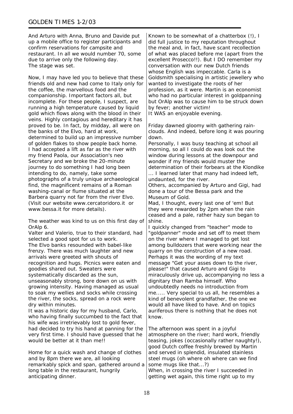And Arturo with Anna, Bruno and Davide put up a mobile office to register participants and confirm reservations for campsite and restaurant. In all we would number 70, some due to arrive only the following day. The stage was set.

Now, I may have led you to believe that these friends old and new had come to Italy only for the coffee, the marvellous food and the companionship. Important factors all, but incomplete. For these people, I suspect, are running a high temperature caused by liquid gold which flows along with the blood in their veins. Highly contagious and hereditary it has proved to be. In fact, by midday, all were on the banks of the Elvo, hard at work, determined to build up an impressive number of golden flakes to show people back home. I had accepted a lift as far as the river with my friend Paola, our Association's neo Secretary and we broke the 20-minute journey to do something I had long been intending to do, namely, take some photographs of a truly unique archaeological find, the magnificent remains of a Roman washing-canal or flume situated at the Barbera quarry not far from the river Elvo. (Visit our website www.cercatoridoro.it or www.bessa.it for more details).

The weather was kind to us on this first day of  $\vert$  shine. OrAlp 6. I quickly changed from "teacher" mode to

Valter and Valerio, true to their standard, had selected a good spot for us to work. The Elvo banks resounded with babel-like frenzy. There was much laughter and new arrivals were greeted with shouts of recognition and hugs. Picnics were eaten and goodies shared out. Sweaters were systematically discarded as the sun, unseasonably strong, bore down on us with growing intensity. Having managed as usual to soak my wellies and socks while crossing the river, the socks, spread on a rock were dry within minutes.

It was a historic day for my husband, Carlo, who having finally succumbed to the fact that his wife was irretrievably lost to gold fever, had decided to try his hand at panning for the very first time. I should have guessed that he would be better at it than me!!

Home for a quick wash and change of clothes and by 8pm there we are, all looking remarkably spick and span, gathered around a long table in the restaurant, hungrily anticipating dinner.

Known to be somewhat of a chatterbox (!), I did full justice to my reputation throughout the meal and, in fact, have scant recollection of what was placed before me (apart from the excellent Prosecco!!). But I DO remember my conversation with our new Dutch friends whose English was impeccable. Carla is a Goldsmith specialising in artistic jewellery who wanted to investigate the roots of her profession, as it were. Martin is an economist who had no particular interest in goldpanning but OrAlp was to cause him to be struck down by fever; another victim! It WAS an enjoyable evening.

Friday dawned gloomy with gathering rainclouds. And indeed, before long it was pouring down.

Personally, I was busy teaching at school all morning, so all I could do was look out the window during lessons at the downpour and wonder if my friends would muster the determination of their forbears at the Klondike ... I learned later that many had indeed left, undaunted, for the river.

Others, accompanied by Arturo and Gigi, had done a tour of the Bessa park and the Museum of Gold.

Mad, I thought, every last one of 'em! But they were rewarded by 2pm when the rain ceased and a pale, rather hazy sun began to

"goldpanner" mode and set off to meet them on the river where I managed to get lost among bulldozers that were working near the quarry on the construction of a new road. Perhaps it was the wording of my text message "Get your asses down to the river, please!" that caused Arturo and Gigi to miraculously drive up, accompanying no less a dignitary than Ramba himself. Who undoubtedly needs no introduction from me..... Very special to us all, he resembles a kind of benevolent grandfather, the one we would all have liked to have. And on topics auriferous there is nothing that he does not know.

The afternoon was spent in a joyful atmosphere on the river; hard work, friendly teasing, jokes (occasionally rather naughty!), good Dutch coffee freshly brewed by Martin and served in splendid, insulated stainless steel mugs (oh where oh where can we find some mugs like that...?) When, in crossing the river I succeeded in

getting wet again, this time right up to my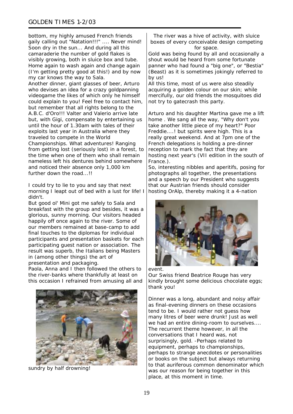bottom, my highly amused French friends gaily calling out "Natation!!!" .... Never mind! Soon dry in the sun... And during all this camaraderie the number of gold flakes is visibly growing, both in sluice box and tube. Home again to wash again and change again (I'm getting pretty good at this!) and by now my car knows the way to Sala. Another dinner, giant glasses of beer, Arturo who devises an idea for a crazy goldpanning videogame the likes of which only he himself could explain to you! Feel free to contact him, but remember that all rights belong to the A.B.C. d'Oro!!! Valter and Valerio arrive late but, with Gigi, compensate by entertaining us until the hour of 1.30am with tales of their exploits last year in Australia where they traveled to compete in the World Championships. What adventures! Ranging from getting lost (seriously lost) in a forest, to the time when one of them who shall remain nameless left his dentures behind somewhere and noticed their absence only 1,000 km further down the road...!!

I could try to lie to you and say that next morning I leapt out of bed with a lust for life! I didn't.

But good ol' Mini got me safely to Sala and breakfast with the group and besides, it was a glorious, sunny morning. Our visitors headed happily off once again to the river. Some of our members remained at base-camp to add final touches to the diplomas for individual participants and presentation baskets for each participating guest nation or association. The result was superb, the Italians being Masters in (among other things) the art of presentation and packaging.

Paola, Anna and I then followed the others to the river-banks where thankfully at least on this occasion I refrained from amusing all and



sundry by half drowning!

The river was a hive of activity, with sluice boxes of every conceivable design competing for space.

Gold was being found by all and occasionally a shout would be heard from some fortunate panner who had found a "big one", or "Bestia" (Beast) as it is sometimes jokingly referred to by us!

All this time, most of us were also steadily acquiring a golden colour on our skin; while mercifully, our old friends the mosquitoes did not try to gatecrash this party.

Arturo and his daughter Martina gave me a lift home . We sang all the way, "Why don't you take another little piece of my heart?" Poor Freddie....! but spirits were high. This is a really great weekend. And at 7pm one of the French delegations is holding a pre-dinner reception to mark the fact that they are hosting next year's (VII edition in the south of France.).

So, interesting nibbles and aperitifs, posing for photographs all together, the presentations and a speech by our President who suggests that our Austrian friends should consider hosting OrAlp, thereby making it a 4-nation



event.

Our Swiss friend Beatrice Rouge has very kindly brought some delicious chocolate eggs; thank you!

Dinner was a long, abundant and noisy affair as final-evening dinners on these occasions tend to be. I would rather not guess how many litres of beer were drunk! Just as well we had an entire dining-room to ourselves.... The recurrent theme however, in all the conversations that I heard was, not surprisingly, gold. -Perhaps related to equipment, perhaps to championships, perhaps to strange anecdotes or personalities or books on the subject but always returning to that auriferous common denominator which was our reason for being together in this place, at this moment in time.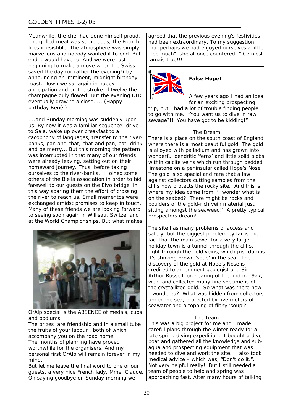# GOLDEN TIMES 1-2/03

Meanwhile, the chef had done himself proud. The grilled meat was sumptuous, the Frenchfries irresistible. The atmosphere was simply marvellous and nobody wanted it to end. But end it would have to. And we were just beginning to make a move when the Swiss saved the day (or rather the evening!) by announcing an imminent, midnight birthday toast. Down we sat again in happy anticipation and on the stroke of twelve the champagne duly flowed! But the evening DID eventually draw to a close..... (Happy birthday Renè!)

....and Sunday morning was suddenly upon us. By now it was a familiar sequence: drive to Sala, wake up over breakfast to a cacophony of languages, transfer to the riverbanks, pan and chat, chat and pan, eat, drink and be merry... But this morning the pattern was interrupted in that many of our friends were already leaving, setting out on their homeward journey. Thus, before taking ourselves to the river-banks, I joined some others of the Biella association in order to bid farewell to our quests on the Elvo bridge, in this way sparing them the effort of crossing the river to reach us. Small mementos were exchanged amidst promises to keep in touch. Many of these friends we are looking forward to seeing soon again in Willisau, Switzerland at the World Championships. But what makes



OrAlp special is the ABSENCE of medals, cups and podiums.

The prizes are friendship and in a small tube the fruits of your labour , both of which accompany you on the road home. The months of planning have proved worthwhile for the organisers. And my personal first OrAlp will remain forever in my mind.

But let me leave the final word to one of our guests, a very nice French lady, Mme. Claude. On saying goodbye on Sunday morning we

agreed that the previous evening's festivities had been extraordinary. To my suggestion that perhaps we had enjoyed ourselves a little "too much", she at once countered: " Ce n'est jamais trop!!!"



#### **False Hope!**

A few years ago I had an idea for an exciting prospecting

trip, but I had a lot of trouble finding people to go with me. "You want us to dive in raw sewage?!! You have got to be kidding!"

#### *The Dream*

There is a place on the south coast of England where there is a most beautiful gold. The gold is alloyed with palladium and has grown into wonderful dendritic 'ferns' and little solid blobs within calcite veins which run through bedded limestone on a peninsular called Hope's Nose. The gold is so special and rare that a law against collectors cutting samples from the cliffs now protects the rocky site. And this is where my idea came from, 'I wonder what is on the seabed? There might be rocks and boulders of the gold-rich vein material just sitting amongst the seaweed!' A pretty typical prospectors dream!

The site has many problems of access and safety, but the biggest problem by far is the fact that the main sewer for a very large holiday town is a tunnel through the cliffs, right through the gold veins, which just dumps it's stinking brown 'soup' in the sea. The discovery of the gold at Hope's Nose is credited to an eminent geologist and Sir Arthur Russell, on hearing of the find in 1927, went and collected many fine specimens of the crystallized gold. So what was there now I wondered? What was hidden from collectors under the sea, protected by five meters of seawater and a topping of filthy 'soup'?

#### *The Team*

This was a big project for me and I made careful plans through the winter ready for a late spring diving expedition. I bought a dive boat and gathered all the knowledge and subaqua and prospecting equipment that was needed to dive and work the site. I also took medical advice – which was, "Don't do it.". Not very helpful really! But I still needed a team of people to help and spring was approaching fast. After many hours of talking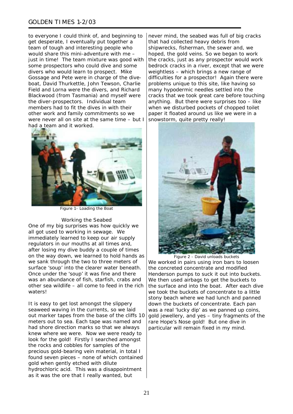## GOLDEN TIMES 1-2/03

to everyone I could think of, and beginning to get desperate, I eventually put together a team of tough and interesting people who would share this mini-adventure with me – just in time! The team mixture was good with some prospectors who could dive and some divers who would learn to prospect. Mike Gossage and Pete were in charge of the diveboat, David Thurkettle, John Tewson, Charlie Field and Lorna were the divers, and Richard Blackwood (from Tasmania) and myself were the diver-prospectors. Individual team members had to fit the dives in with their other work and family commitments so we were never all on site at the same time – but I had a team and it worked.



*Figure 1- Loading the Boat*

#### *Working the Seabed*

One of my big surprises was how quickly we all got used to working in sewage. We immediately learned to keep our air supply regulators in our mouths at all times and, after losing my dive buddy a couple of times on the way down, we learned to hold hands as we sank through the two to three meters of surface 'soup' into the clearer water beneath. Once under the 'soup' it was fine and there was an abundance of fish, starfish, crabs and other sea wildlife – all come to feed in the rich **waters!** 

It is easy to get lost amongst the slippery seaweed waving in the currents, so we laid out marker tapes from the base of the cliffs 10 meters out to sea. Each tape was named and had shore direction marks so that we always knew where we were. Now we were ready to look for the gold! Firstly I searched amongst the rocks and cobbles for samples of the precious gold-bearing vein material, in total I found seven pieces – none of which contained gold when gently etched with dilute hydrochloric acid. This was a disappointment as it was the ore that I really wanted, but

never mind, the seabed was full of big cracks that had collected heavy debris from shipwrecks, fisherman, the sewer and, we hoped, the gold veins. So we began to work the cracks, just as any prospector would work bedrock cracks in a river, except that we were weightless – which brings a new range of difficulties for a prospector! Again there were problems unique to this site, like having so many hypodermic needles settled into the cracks that we took great care before touching anything. But there were surprises too – like when we disturbed pockets of chopped toilet paper it floated around us like we were in a snowstorm, quite pretty really!



*Figure 2 - David unloads buckets*  We worked in pairs using iron bars to loosen the concreted concentrate and modified Henderson pumps to suck it out into buckets. We then used airbags to get the buckets to the surface and into the boat. After each dive we took the buckets of concentrate to a little stony beach where we had lunch and panned down the buckets of concentrate. Each pan was a real 'lucky dip' as we panned up coins, gold jewellery, and yes – tiny fragments of the rare Hope's Nose gold! But one dive in particular will remain fixed in my mind.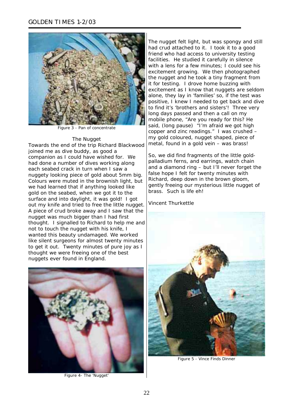

*Figure 3 - Pan of concentrate*

#### *The Nugget*

Towards the end of the trip Richard Blackwood joined me as dive buddy, as good a companion as I could have wished for. We had done a number of dives working along each seabed crack in turn when I saw a nuggety looking piece of gold about 5mm big. Colours were muted in the brownish light, but we had learned that if anything looked like gold on the seabed, when we got it to the surface and into daylight, it was gold! I got out my knife and tried to free the little nugget. A piece of crud broke away and I saw that the nugget was much bigger than I had first thought. I signalled to Richard to help me and not to touch the nugget with his knife, I wanted this beauty undamaged. We worked like silent surgeons for almost twenty minutes to get it out. Twenty minutes of pure joy as I thought we were freeing one of the best nuggets ever found in England.



*Figure 4- The 'Nugget'*

The nugget felt light, but was spongy and still had crud attached to it. I took it to a good friend who had access to university testing facilities. He studied it carefully in silence with a lens for a few minutes; I could see his excitement growing. We then photographed the nugget and he took a tiny fragment from it for testing. I drove home buzzing with excitement as I know that nuggets are seldom alone, they lay in 'families' so, if the test was positive, I knew I needed to get back and dive to find it's 'brothers and sisters'! Three very long days passed and then a call on my mobile phone, "Are you ready for this? He said, (long pause) "I'm afraid we got high copper and zinc readings." I was crushed – my gold coloured, nugget shaped, piece of metal, found in a gold vein – was brass!

So, we did find fragments of the little goldpalladium ferns, and earrings, watch chain and a diamond ring – but I'll never forget the false hope I felt for twenty minutes with Richard, deep down in the brown gloom, gently freeing our mysterious little nugget of brass. Such is life eh!

Vincent Thurkettle



*Figure 5 - Vince Finds Dinner*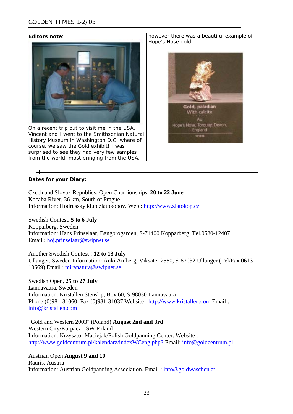#### *Editors note*:



On a recent trip out to visit me in the USA, Vincent and I went to the Smithsonian Natural History Museum in Washington D.C. where of course, we saw the Gold exhibit! I was surprised to see they had very few samples from the world, most bringing from the USA,

however there was a beautiful example of Hope's Nose gold.



# **Dates for your Diary:**

Czech and Slovak Republics, Open Chamionships. **20 to 22 June** Kocaba River, 36 km, South of Prague Information: Hodrussky klub zlatokopov. Web : [http://www.zlatokop.cz](http://www.zlatokop.cz/) 

Swedish Contest. **5 to 6 July** Kopparberg, Sweden Information: Hans Prinselaar, Bangbrogarden, S-71400 Kopparberg. Tel.0580-12407 Email : [hoj.prinselaar@swipnet.se](mailto:hoj.prinselaar@swipnet.se) 

Another Swedish Contest ! **12 to 13 July** Ullanger, Sweden Information: Anki Amberg, Viksäter 2550, S-87032 Ullanger (Tel/Fax 0613- 10669) Email : [miranatura@swipnet.se](mailto:miranatura@swipnet.se)

Swedish Open, **25 to 27 July**

Lannavaara, Sweden Information: Kristallen Stenslip, Box 60, S-98030 Lannavaara Phone (0)981-31060, Fax (0)981-31037 Website : [http://www.kristallen.com](http://www.kristallen.com/) Email : [info@kristallen.com](mailto:info@kristallen.com)

"Gold and Western 2003" (Poland) **August 2nd and 3rd**  Western City/Karpacz - SW Poland Information: Krzysztof Maciejak/Polish Goldpanning Center. Website : <http://www.goldcentrum.pl/kalendarz/indexWCeng.php3> Email: [info@goldcentrum.pl](mailto:info@goldcentrum.pl)

Austrian Open **August 9 and 10**  Rauris, Austria Information: Austrian Goldpanning Association. Email : [info@goldwaschen.at](mailto:info@goldwaschen.at)